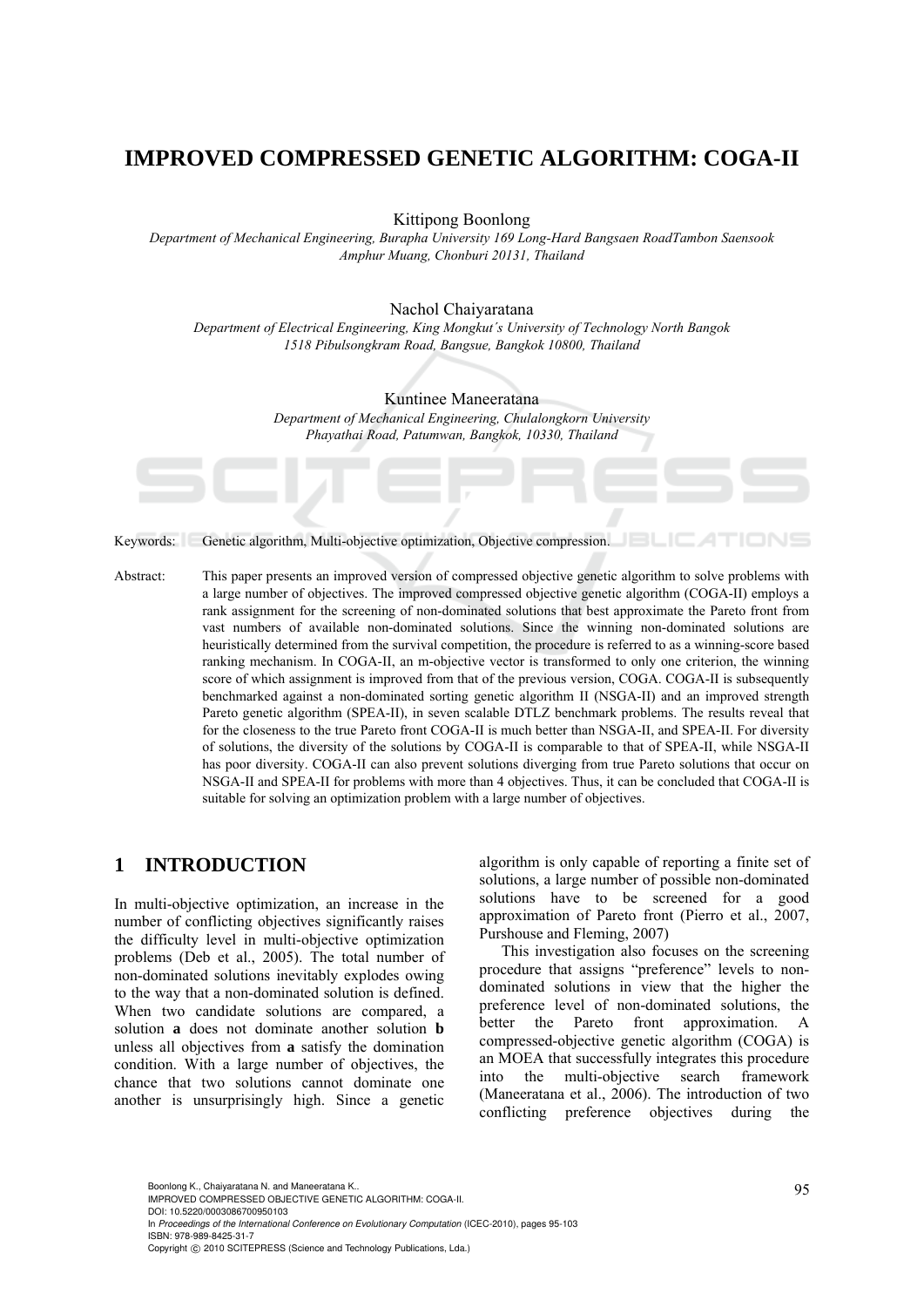# **IMPROVED COMPRESSED GENETIC ALGORITHM: COGA-II**

Kittipong Boonlong

*Department of Mechanical Engineering, Burapha University 169 Long-Hard Bangsaen RoadTambon Saensook Amphur Muang, Chonburi 20131, Thailand* 

Nachol Chaiyaratana

*Department of Electrical Engineering, King Mongkut´s University of Technology North Bangok 1518 Pibulsongkram Road, Bangsue, Bangkok 10800, Thailand* 

Kuntinee Maneeratana

*Department of Mechanical Engineering, Chulalongkorn University Phayathai Road, Patumwan, Bangkok, 10330, Thailand* 

Keywords: Genetic algorithm, Multi-objective optimization, Objective compression.

Abstract: This paper presents an improved version of compressed objective genetic algorithm to solve problems with a large number of objectives. The improved compressed objective genetic algorithm (COGA-II) employs a rank assignment for the screening of non-dominated solutions that best approximate the Pareto front from vast numbers of available non-dominated solutions. Since the winning non-dominated solutions are heuristically determined from the survival competition, the procedure is referred to as a winning-score based ranking mechanism. In COGA-II, an m-objective vector is transformed to only one criterion, the winning score of which assignment is improved from that of the previous version, COGA. COGA-II is subsequently benchmarked against a non-dominated sorting genetic algorithm II (NSGA-II) and an improved strength Pareto genetic algorithm (SPEA-II), in seven scalable DTLZ benchmark problems. The results reveal that for the closeness to the true Pareto front COGA-II is much better than NSGA-II, and SPEA-II. For diversity of solutions, the diversity of the solutions by COGA-II is comparable to that of SPEA-II, while NSGA-II has poor diversity. COGA-II can also prevent solutions diverging from true Pareto solutions that occur on NSGA-II and SPEA-II for problems with more than 4 objectives. Thus, it can be concluded that COGA-II is suitable for solving an optimization problem with a large number of objectives.

## **1 INTRODUCTION**

In multi-objective optimization, an increase in the number of conflicting objectives significantly raises the difficulty level in multi-objective optimization problems (Deb et al., 2005). The total number of non-dominated solutions inevitably explodes owing to the way that a non-dominated solution is defined. When two candidate solutions are compared, a solution **a** does not dominate another solution **b** unless all objectives from **a** satisfy the domination condition. With a large number of objectives, the chance that two solutions cannot dominate one another is unsurprisingly high. Since a genetic

algorithm is only capable of reporting a finite set of solutions, a large number of possible non-dominated solutions have to be screened for a good approximation of Pareto front (Pierro et al., 2007, Purshouse and Fleming, 2007)

This investigation also focuses on the screening procedure that assigns "preference" levels to nondominated solutions in view that the higher the preference level of non-dominated solutions, the better the Pareto front approximation. A compressed-objective genetic algorithm (COGA) is an MOEA that successfully integrates this procedure into the multi-objective search framework (Maneeratana et al., 2006). The introduction of two conflicting preference objectives during the

95 Boonlong K., Chaiyaratana N. and Maneeratana K.. IMPROVED COMPRESSED OBJECTIVE GENETIC ALGORITHM: COGA-II. DOI: 10.5220/0003086700950103

In *Proceedings of the International Conference on Evolutionary Computation* (ICEC-2010), pages 95-103 ISBN: 978-989-8425-31-7

Copyright © 2010 SCITEPRESS (Science and Technology Publications, Lda.)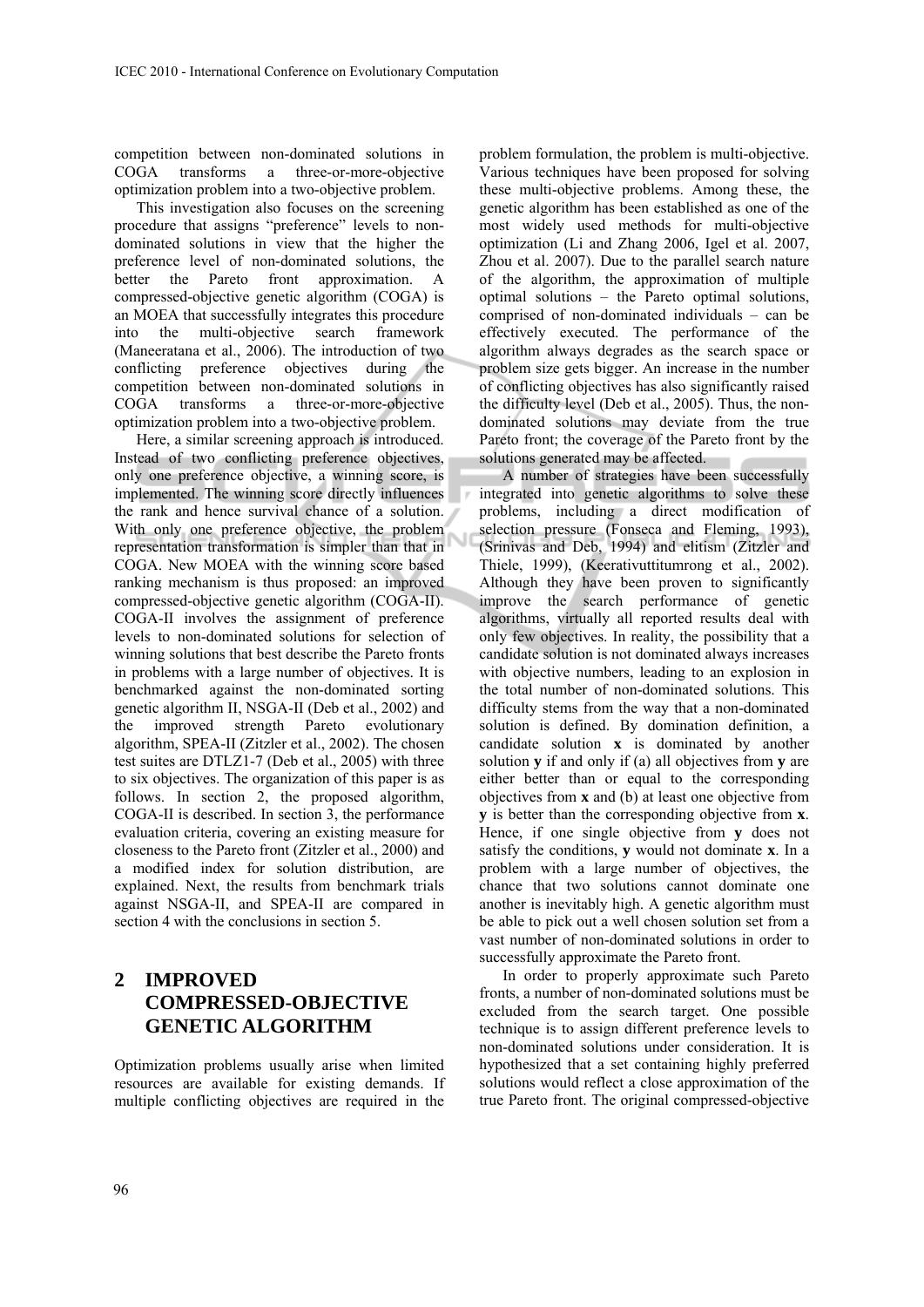competition between non-dominated solutions in COGA transforms a three-or-more-objective optimization problem into a two-objective problem.

This investigation also focuses on the screening procedure that assigns "preference" levels to nondominated solutions in view that the higher the preference level of non-dominated solutions, the better the Pareto front approximation. A compressed-objective genetic algorithm (COGA) is an MOEA that successfully integrates this procedure into the multi-objective search framework (Maneeratana et al., 2006). The introduction of two conflicting preference objectives during the competition between non-dominated solutions in COGA transforms a three-or-more-objective optimization problem into a two-objective problem.

Here, a similar screening approach is introduced. Instead of two conflicting preference objectives, only one preference objective, a winning score, is implemented. The winning score directly influences the rank and hence survival chance of a solution. With only one preference objective, the problem representation transformation is simpler than that in COGA. New MOEA with the winning score based ranking mechanism is thus proposed: an improved compressed-objective genetic algorithm (COGA-II). COGA-II involves the assignment of preference levels to non-dominated solutions for selection of winning solutions that best describe the Pareto fronts in problems with a large number of objectives. It is benchmarked against the non-dominated sorting genetic algorithm II, NSGA-II (Deb et al., 2002) and the improved strength Pareto evolutionary algorithm, SPEA-II (Zitzler et al., 2002). The chosen test suites are DTLZ1-7 (Deb et al., 2005) with three to six objectives. The organization of this paper is as follows. In section 2, the proposed algorithm, COGA-II is described. In section 3, the performance evaluation criteria, covering an existing measure for closeness to the Pareto front (Zitzler et al., 2000) and a modified index for solution distribution, are explained. Next, the results from benchmark trials against NSGA-II, and SPEA-II are compared in section 4 with the conclusions in section 5.

## **2 IMPROVED COMPRESSED-OBJECTIVE GENETIC ALGORITHM**

Optimization problems usually arise when limited resources are available for existing demands. If multiple conflicting objectives are required in the

problem formulation, the problem is multi-objective. Various techniques have been proposed for solving these multi-objective problems. Among these, the genetic algorithm has been established as one of the most widely used methods for multi-objective optimization (Li and Zhang 2006, Igel et al. 2007, Zhou et al. 2007). Due to the parallel search nature of the algorithm, the approximation of multiple optimal solutions – the Pareto optimal solutions, comprised of non-dominated individuals – can be effectively executed. The performance of the algorithm always degrades as the search space or problem size gets bigger. An increase in the number of conflicting objectives has also significantly raised the difficulty level (Deb et al., 2005). Thus, the nondominated solutions may deviate from the true Pareto front; the coverage of the Pareto front by the solutions generated may be affected.

A number of strategies have been successfully integrated into genetic algorithms to solve these problems, including a direct modification of selection pressure (Fonseca and Fleming, 1993), (Srinivas and Deb, 1994) and elitism (Zitzler and Thiele, 1999), (Keerativuttitumrong et al., 2002). Although they have been proven to significantly improve the search performance of genetic algorithms, virtually all reported results deal with only few objectives. In reality, the possibility that a candidate solution is not dominated always increases with objective numbers, leading to an explosion in the total number of non-dominated solutions. This difficulty stems from the way that a non-dominated solution is defined. By domination definition, a candidate solution **x** is dominated by another solution **y** if and only if (a) all objectives from **y** are either better than or equal to the corresponding objectives from **x** and (b) at least one objective from **y** is better than the corresponding objective from **x**. Hence, if one single objective from **y** does not satisfy the conditions, **y** would not dominate **x**. In a problem with a large number of objectives, the chance that two solutions cannot dominate one another is inevitably high. A genetic algorithm must be able to pick out a well chosen solution set from a vast number of non-dominated solutions in order to successfully approximate the Pareto front.

In order to properly approximate such Pareto fronts, a number of non-dominated solutions must be excluded from the search target. One possible technique is to assign different preference levels to non-dominated solutions under consideration. It is hypothesized that a set containing highly preferred solutions would reflect a close approximation of the true Pareto front. The original compressed-objective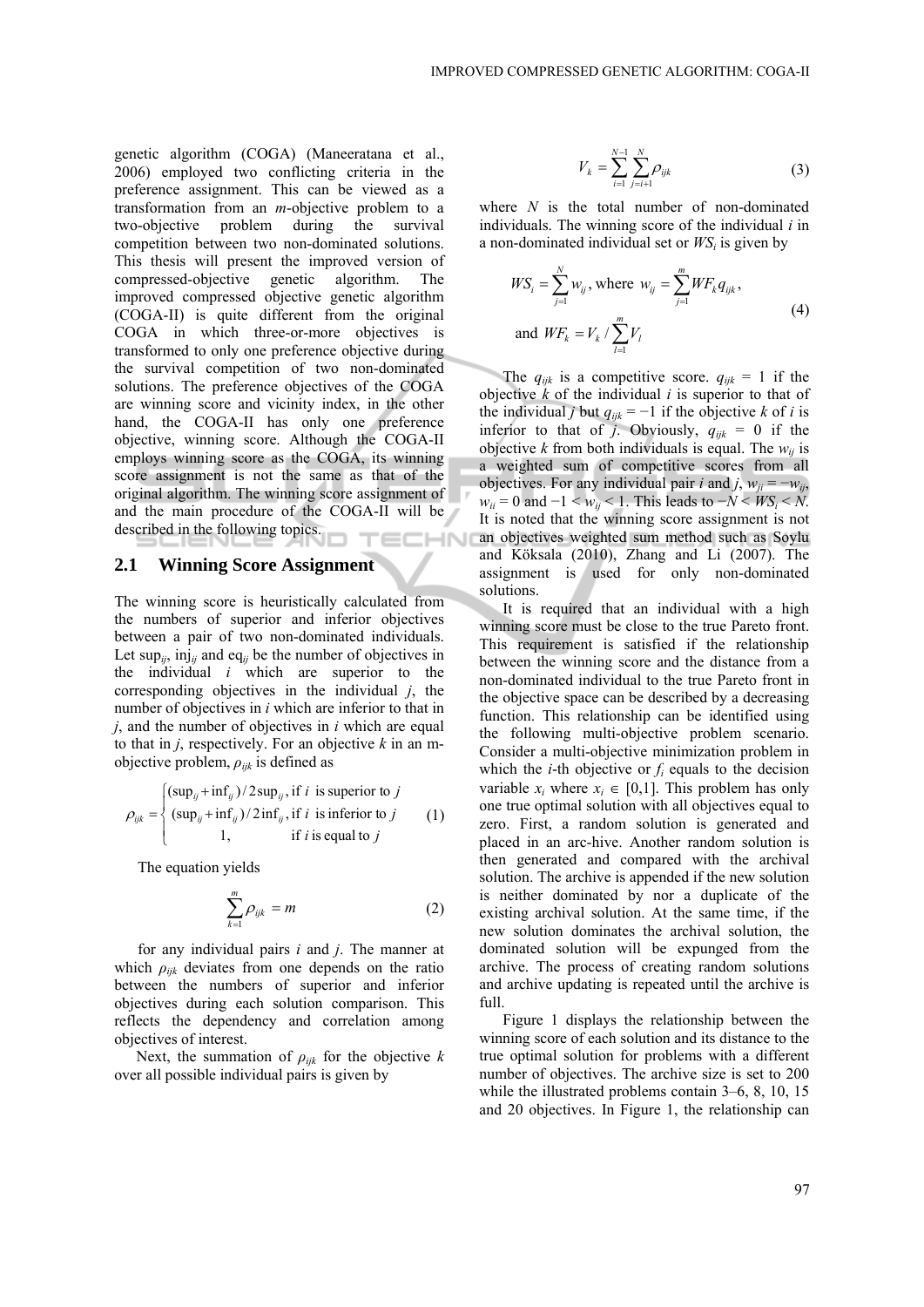genetic algorithm (COGA) (Maneeratana et al., 2006) employed two conflicting criteria in the preference assignment. This can be viewed as a transformation from an *m*-objective problem to a two-objective problem during the survival competition between two non-dominated solutions. This thesis will present the improved version of compressed-objective genetic algorithm. The improved compressed objective genetic algorithm (COGA-II) is quite different from the original COGA in which three-or-more objectives is transformed to only one preference objective during the survival competition of two non-dominated solutions. The preference objectives of the COGA are winning score and vicinity index, in the other hand, the COGA-II has only one preference objective, winning score. Although the COGA-II employs winning score as the COGA, its winning score assignment is not the same as that of the original algorithm. The winning score assignment of and the main procedure of the COGA-II will be described in the following topics. **INHIL** 

#### **2.1 Winning Score Assignment**

The winning score is heuristically calculated from the numbers of superior and inferior objectives between a pair of two non-dominated individuals. Let sup<sub>ij</sub>, inj<sub>ij</sub> and eq<sub>ij</sub> be the number of objectives in the individual *i* which are superior to the corresponding objectives in the individual *j*, the number of objectives in *i* which are inferior to that in *j*, and the number of objectives in *i* which are equal to that in *j*, respectively. For an objective *k* in an mobjective problem, *ρijk* is defined as

$$
\rho_{ijk} = \begin{cases}\n(\sup_{ij} + \inf_{ij})/2 \sup_{ij}, \text{if } i \text{ is superior to } j \\
(\sup_{ij} + \inf_{ij})/2 \inf_{ij}, \text{if } i \text{ is inferior to } j \\
1, \text{if } i \text{ is equal to } j\n\end{cases}
$$
\n(1)

The equation yields

*k*

$$
\sum_{k=1}^{m} \rho_{ijk} = m \tag{2}
$$

for any individual pairs *i* and *j*. The manner at which  $\rho_{ijk}$  deviates from one depends on the ratio between the numbers of superior and inferior objectives during each solution comparison. This reflects the dependency and correlation among objectives of interest.

Next, the summation of  $\rho_{ijk}$  for the objective *k* over all possible individual pairs is given by

$$
V_k = \sum_{i=1}^{N-1} \sum_{j=i+1}^{N} \rho_{ijk}
$$
 (3)

where *N* is the total number of non-dominated individuals. The winning score of the individual *i* in a non-dominated individual set or  $WS<sub>i</sub>$  is given by

$$
WS_{i} = \sum_{j=1}^{N} w_{ij}, \text{ where } w_{ij} = \sum_{j=1}^{m} WF_{k}q_{ijk},
$$
  
and 
$$
WF_{k} = V_{k} / \sum_{l=1}^{m} V_{l}
$$
 (4)

The  $q_{ijk}$  is a competitive score.  $q_{ijk} = 1$  if the objective *k* of the individual *i* is superior to that of the individual *j* but  $q_{ijk} = -1$  if the objective *k* of *i* is inferior to that of *j*. Obviously,  $q_{ijk} = 0$  if the objective *k* from both individuals is equal. The  $w_{ij}$  is a weighted sum of competitive scores from all objectives. For any individual pair *i* and *j*,  $w_{ii} = -w_{ii}$ ,  $w_{ii} = 0$  and  $-1 \le w_{ii} \le 1$ . This leads to  $-N \le WS_i \le N$ . It is noted that the winning score assignment is not an objectives weighted sum method such as Soylu and Köksala (2010), Zhang and Li (2007). The assignment is used for only non-dominated solutions.

It is required that an individual with a high winning score must be close to the true Pareto front. This requirement is satisfied if the relationship between the winning score and the distance from a non-dominated individual to the true Pareto front in the objective space can be described by a decreasing function. This relationship can be identified using the following multi-objective problem scenario. Consider a multi-objective minimization problem in which the *i*-th objective or  $f_i$  equals to the decision variable  $x_i$  where  $x_i \in [0,1]$ . This problem has only one true optimal solution with all objectives equal to zero. First, a random solution is generated and placed in an arc-hive. Another random solution is then generated and compared with the archival solution. The archive is appended if the new solution is neither dominated by nor a duplicate of the existing archival solution. At the same time, if the new solution dominates the archival solution, the dominated solution will be expunged from the archive. The process of creating random solutions and archive updating is repeated until the archive is full.

Figure 1 displays the relationship between the winning score of each solution and its distance to the true optimal solution for problems with a different number of objectives. The archive size is set to 200 while the illustrated problems contain 3–6, 8, 10, 15 and 20 objectives. In Figure 1, the relationship can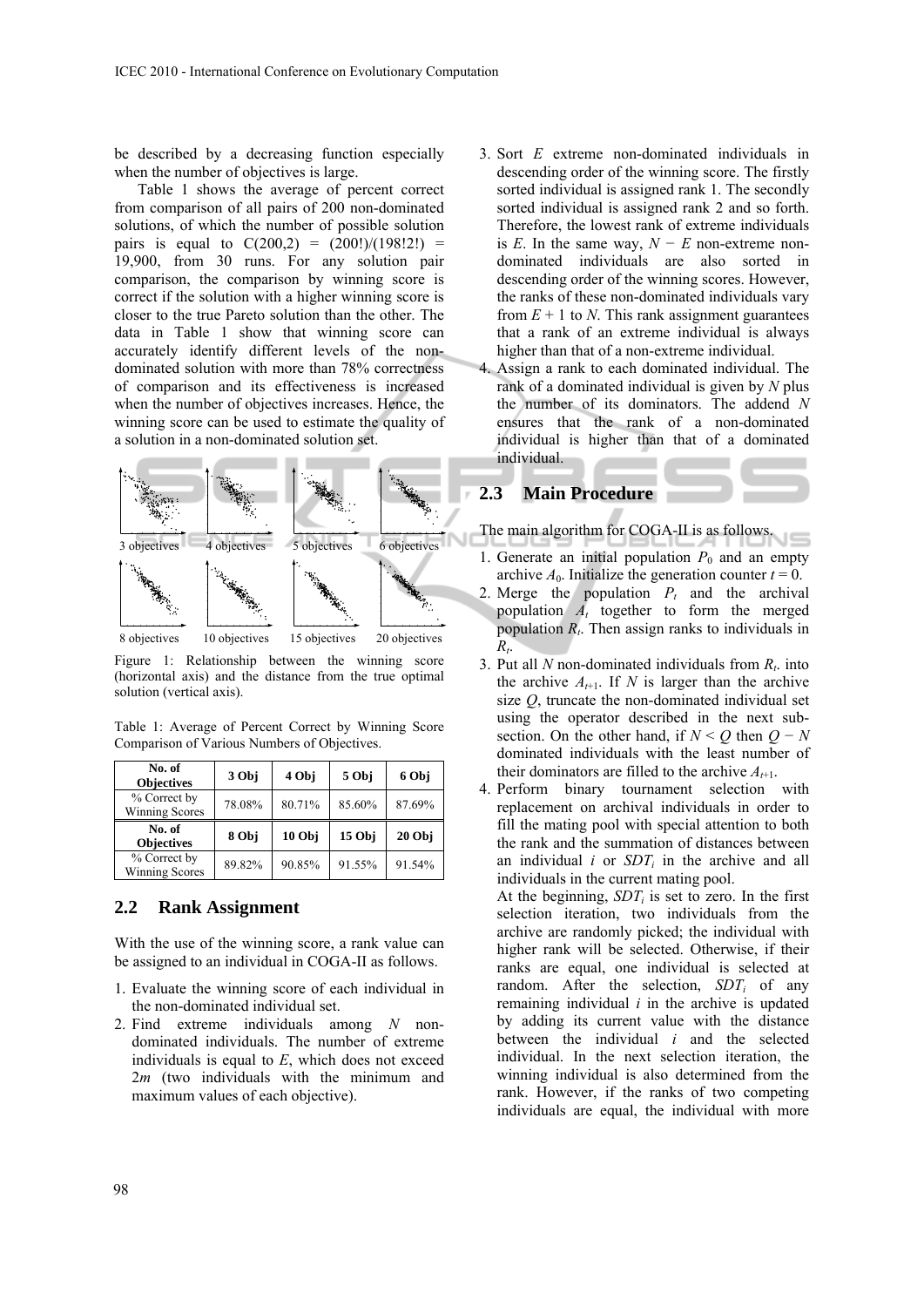be described by a decreasing function especially when the number of objectives is large.

Table 1 shows the average of percent correct from comparison of all pairs of 200 non-dominated solutions, of which the number of possible solution pairs is equal to  $C(200,2) = (200!)/(198!2!) =$ 19,900, from 30 runs. For any solution pair comparison, the comparison by winning score is correct if the solution with a higher winning score is closer to the true Pareto solution than the other. The data in Table 1 show that winning score can accurately identify different levels of the nondominated solution with more than 78% correctness of comparison and its effectiveness is increased when the number of objectives increases. Hence, the winning score can be used to estimate the quality of a solution in a non-dominated solution set.



Figure 1: Relationship between the winning score (horizontal axis) and the distance from the true optimal solution (vertical axis).

Table 1: Average of Percent Correct by Winning Score Comparison of Various Numbers of Objectives.

| No. of<br><b>Objectives</b>    | 3 Obj  | 4 Obj  | 5 Obj  | 6 Obj  |
|--------------------------------|--------|--------|--------|--------|
| % Correct by<br>Winning Scores | 78.08% | 80.71% | 85.60% | 87.69% |
|                                |        |        |        |        |
| No. of<br><b>Objectives</b>    | 8 Obj  | 10 Obj | 15Obi  | 20Obi  |

#### **2.2 Rank Assignment**

With the use of the winning score, a rank value can be assigned to an individual in COGA-II as follows.

- 1. Evaluate the winning score of each individual in the non-dominated individual set.
- 2. Find extreme individuals among *N* nondominated individuals. The number of extreme individuals is equal to *E*, which does not exceed 2*m* (two individuals with the minimum and maximum values of each objective).
- 3. Sort *E* extreme non-dominated individuals in descending order of the winning score. The firstly sorted individual is assigned rank 1. The secondly sorted individual is assigned rank 2 and so forth. Therefore, the lowest rank of extreme individuals is *E*. In the same way,  $N - E$  non-extreme nondominated individuals are also sorted in descending order of the winning scores. However, the ranks of these non-dominated individuals vary from  $E + 1$  to *N*. This rank assignment guarantees that a rank of an extreme individual is always higher than that of a non-extreme individual.
- 4. Assign a rank to each dominated individual. The rank of a dominated individual is given by *N* plus the number of its dominators. The addend *N* ensures that the rank of a non-dominated individual is higher than that of a dominated individual.

### **2.3 Main Procedure**

The main algorithm for COGA-II is as follows.

- 1. Generate an initial population  $P_0$  and an empty archive  $A_0$ . Initialize the generation counter  $t = 0$ .
- 2. Merge the population  $P_t$  and the archival population  $\overrightarrow{A}_t$  together to form the merged population *Rt*. Then assign ranks to individuals in  $R_t$ .
- 3. Put all *N* non-dominated individuals from  $R_t$ , into the archive  $A_{t+1}$ . If *N* is larger than the archive size *Q*, truncate the non-dominated individual set using the operator described in the next subsection. On the other hand, if  $N < Q$  then  $Q - N$ dominated individuals with the least number of their dominators are filled to the archive  $A_{t+1}$ .
- 4. Perform binary tournament selection with replacement on archival individuals in order to fill the mating pool with special attention to both the rank and the summation of distances between an individual  $i$  or  $SDT<sub>i</sub>$  in the archive and all individuals in the current mating pool.

At the beginning,  $SDT_i$  is set to zero. In the first selection iteration, two individuals from the archive are randomly picked; the individual with higher rank will be selected. Otherwise, if their ranks are equal, one individual is selected at random. After the selection, *SDT<sub>i</sub>* of any remaining individual *i* in the archive is updated by adding its current value with the distance between the individual *i* and the selected individual. In the next selection iteration, the winning individual is also determined from the rank. However, if the ranks of two competing individuals are equal, the individual with more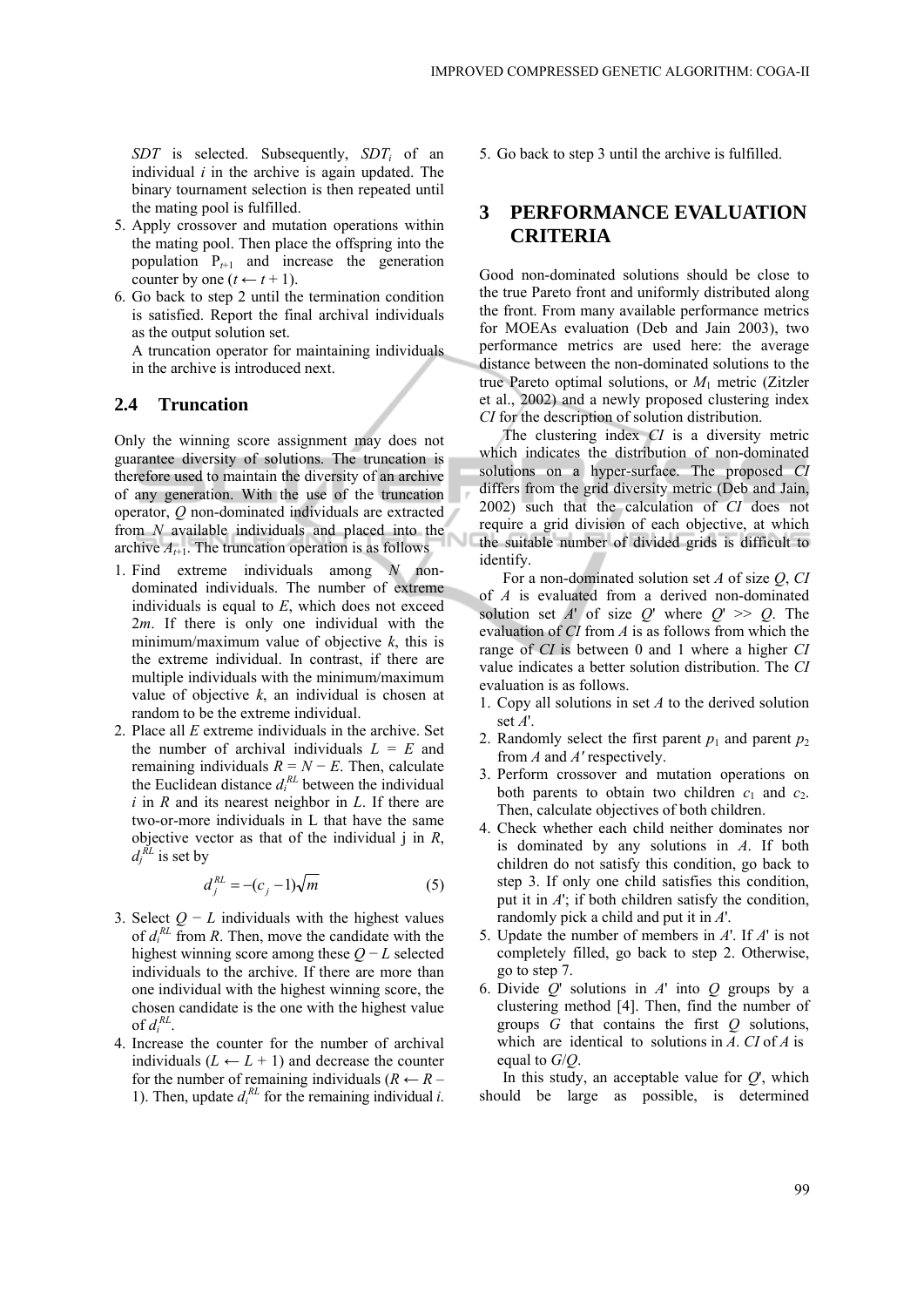*SDT* is selected. Subsequently, *SDTi* of an individual *i* in the archive is again updated. The binary tournament selection is then repeated until the mating pool is fulfilled.

- 5. Apply crossover and mutation operations within the mating pool. Then place the offspring into the population  $P_{t+1}$  and increase the generation counter by one  $(t \leftarrow t + 1)$ .
- 6. Go back to step 2 until the termination condition is satisfied. Report the final archival individuals as the output solution set.
	- A truncation operator for maintaining individuals in the archive is introduced next.

#### **2.4 Truncation**

Only the winning score assignment may does not guarantee diversity of solutions. The truncation is therefore used to maintain the diversity of an archive of any generation. With the use of the truncation operator, *Q* non-dominated individuals are extracted from *N* available individuals and placed into the archive  $A_{t+1}$ . The truncation operation is as follows

- 1. Find extreme individuals among *N* nondominated individuals. The number of extreme individuals is equal to *E*, which does not exceed 2*m*. If there is only one individual with the minimum/maximum value of objective *k*, this is the extreme individual. In contrast, if there are multiple individuals with the minimum/maximum value of objective  $k$ , an individual is chosen at random to be the extreme individual.
- 2. Place all *E* extreme individuals in the archive. Set the number of archival individuals  $L = E$  and remaining individuals  $R = N - E$ . Then, calculate the Euclidean distance  $d_i^{RL}$  between the individual *i* in *R* and its nearest neighbor in *L*. If there are two-or-more individuals in L that have the same objective vector as that of the individual j in *R*,  $d_j^{\tilde{R}L}$  is set by

$$
d_j^{RL} = -(c_j - 1)\sqrt{m} \tag{5}
$$

- 3. Select  $Q L$  individuals with the highest values of  $d_i^{RL}$  from *R*. Then, move the candidate with the highest winning score among these *Q* − *L* selected individuals to the archive. If there are more than one individual with the highest winning score, the chosen candidate is the one with the highest value of  $d_i^{RL}$ .
- 4. Increase the counter for the number of archival individuals  $(L \leftarrow L + 1)$  and decrease the counter for the number of remaining individuals  $(R \leftarrow R -$ 1). Then, update  $d_i^{RL}$  for the remaining individual *i*.

5. Go back to step 3 until the archive is fulfilled.

### **3 PERFORMANCE EVALUATION CRITERIA**

Good non-dominated solutions should be close to the true Pareto front and uniformly distributed along the front. From many available performance metrics for MOEAs evaluation (Deb and Jain 2003), two performance metrics are used here: the average distance between the non-dominated solutions to the true Pareto optimal solutions, or *M*1 metric (Zitzler et al., 2002) and a newly proposed clustering index *CI* for the description of solution distribution.

The clustering index *CI* is a diversity metric which indicates the distribution of non-dominated solutions on a hyper-surface. The proposed *CI* differs from the grid diversity metric (Deb and Jain, 2002) such that the calculation of *CI* does not require a grid division of each objective, at which the suitable number of divided grids is difficult to identify.

For a non-dominated solution set *A* of size *Q*, *CI*  of *A* is evaluated from a derived non-dominated solution set *A*' of size *Q*' where  $Q' \gg Q$ . The evaluation of *CI* from *A* is as follows from which the range of *CI* is between 0 and 1 where a higher *CI* value indicates a better solution distribution. The *CI* evaluation is as follows.

- 1. Copy all solutions in set *A* to the derived solution set *A*'.
- 2. Randomly select the first parent  $p_1$  and parent  $p_2$ from *A* and *A'* respectively.
- 3. Perform crossover and mutation operations on both parents to obtain two children  $c_1$  and  $c_2$ . Then, calculate objectives of both children.
- 4. Check whether each child neither dominates nor is dominated by any solutions in *A*. If both children do not satisfy this condition, go back to step 3. If only one child satisfies this condition, put it in *A*'; if both children satisfy the condition, randomly pick a child and put it in *A*'.
- 5. Update the number of members in *A*'. If *A*' is not completely filled, go back to step 2. Otherwise, go to step 7.
- 6. Divide *Q*' solutions in *A*' into *Q* groups by a clustering method [4]. Then, find the number of groups *G* that contains the first *Q* solutions, which are identical to solutions in *A*. *CI* of *A* is equal to *G*/*Q*.

In this study, an acceptable value for  $Q'$ , which should be large as possible, is determined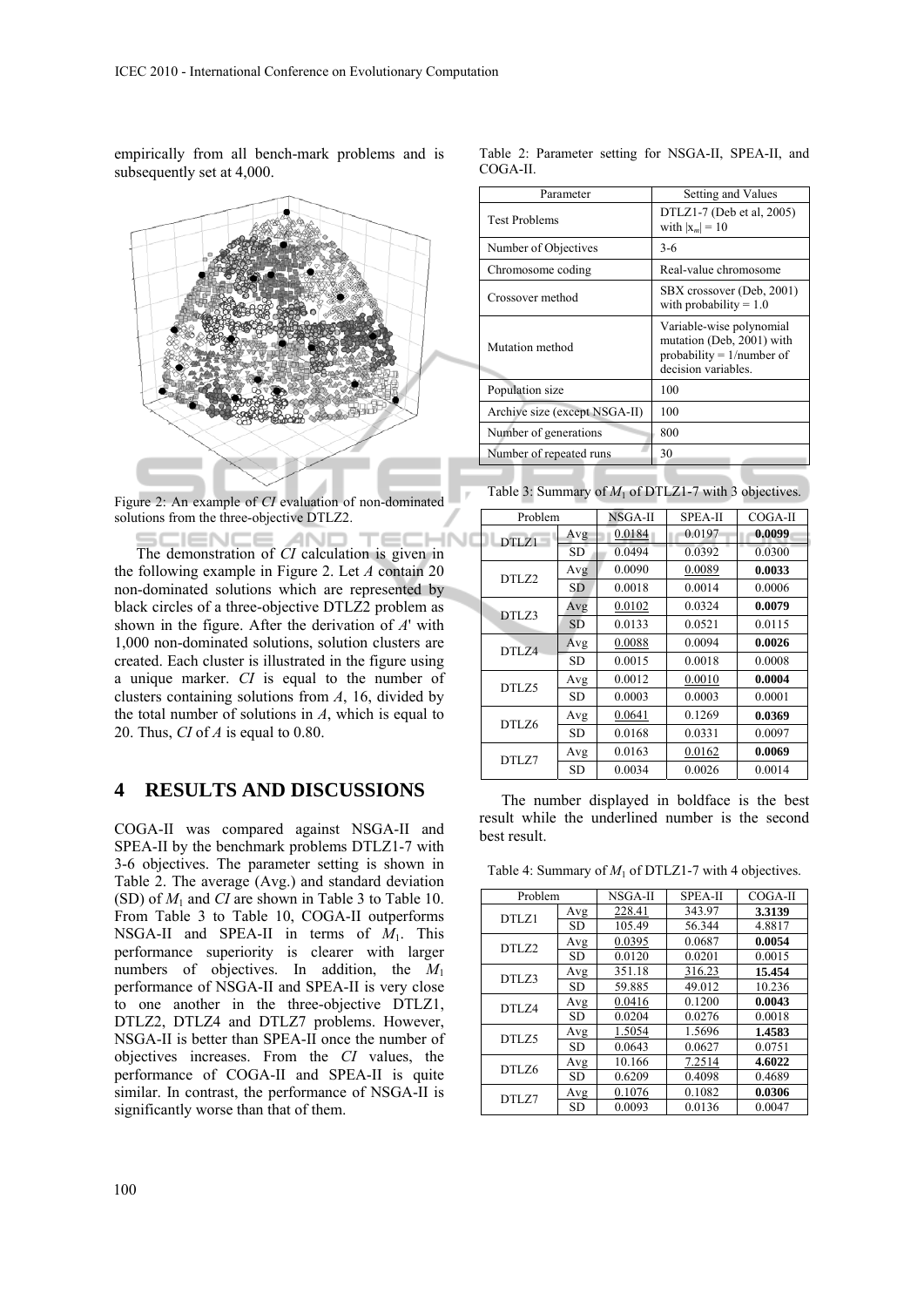empirically from all bench-mark problems and is subsequently set at 4,000.



Figure 2: An example of *CI* evaluation of non-dominated solutions from the three-objective DTLZ2.

**HND IEND** The demonstration of *CI* calculation is given in the following example in Figure 2. Let *A* contain 20 non-dominated solutions which are represented by black circles of a three-objective DTLZ2 problem as shown in the figure. After the derivation of *A*' with 1,000 non-dominated solutions, solution clusters are created. Each cluster is illustrated in the figure using a unique marker. *CI* is equal to the number of clusters containing solutions from *A*, 16, divided by the total number of solutions in *A*, which is equal to 20. Thus, *CI* of *A* is equal to 0.80.

## **4 RESULTS AND DISCUSSIONS**

COGA-II was compared against NSGA-II and SPEA-II by the benchmark problems DTLZ1-7 with 3-6 objectives. The parameter setting is shown in Table 2. The average (Avg.) and standard deviation (SD) of  $M_1$  and *CI* are shown in Table 3 to Table 10. From Table 3 to Table 10, COGA-II outperforms NSGA-II and SPEA-II in terms of *M*1. This performance superiority is clearer with larger numbers of objectives. In addition, the *M*<sup>1</sup> performance of NSGA-II and SPEA-II is very close to one another in the three-objective DTLZ1, DTLZ2, DTLZ4 and DTLZ7 problems. However, NSGA-II is better than SPEA-II once the number of objectives increases. From the *CI* values, the performance of COGA-II and SPEA-II is quite similar. In contrast, the performance of NSGA-II is significantly worse than that of them.

|          | Table 2: Parameter setting for NSGA-II, SPEA-II, and |  |  |  |
|----------|------------------------------------------------------|--|--|--|
| COGA-II. |                                                      |  |  |  |

| Parameter                     | Setting and Values                                                                                           |
|-------------------------------|--------------------------------------------------------------------------------------------------------------|
| <b>Test Problems</b>          | DTLZ1-7 (Deb et al, $2005$ )<br>with $ x_m =10$                                                              |
| Number of Objectives          | $3-6$                                                                                                        |
| Chromosome coding             | Real-value chromosome                                                                                        |
| Crossover method              | SBX crossover (Deb, 2001)<br>with probability $= 1.0$                                                        |
| Mutation method               | Variable-wise polynomial<br>mutation (Deb, 2001) with<br>probability = $1/n$ umber of<br>decision variables. |
| Population size               | 100                                                                                                          |
| Archive size (except NSGA-II) | 100                                                                                                          |
| Number of generations         | 800                                                                                                          |
| Number of repeated runs       | 30                                                                                                           |

Table 3: Summary of  $M_1$  of DTLZ1-7 with 3 objectives.

| Problem      |           | NSGA-II | <b>SPEA-II</b> | $COGA-II$ |
|--------------|-----------|---------|----------------|-----------|
| <b>DTLZ1</b> | Avg       | 0.0184  | 0.0197         | 0.0099    |
|              | <b>SD</b> | 0.0494  | 0.0392         | 0.0300    |
| DTLZ2        | Avg       | 0.0090  | 0.0089         | 0.0033    |
|              | <b>SD</b> | 0.0018  | 0.0014         | 0.0006    |
| DTLZ3        | Avg       | 0.0102  | 0.0324         | 0.0079    |
|              | <b>SD</b> | 0.0133  | 0.0521         | 0.0115    |
| <b>DTL74</b> | Avg       | 0.0088  | 0.0094         | 0.0026    |
|              | <b>SD</b> | 0.0015  | 0.0018         | 0.0008    |
| DTLZ5        | Avg       | 0.0012  | 0.0010         | 0.0004    |
|              | <b>SD</b> | 0.0003  | 0.0003         | 0.0001    |
| DTLZ6        | Avg       | 0.0641  | 0.1269         | 0.0369    |
|              | <b>SD</b> | 0.0168  | 0.0331         | 0.0097    |
| DTLZ7        | Avg       | 0.0163  | 0.0162         | 0.0069    |
|              | <b>SD</b> | 0.0034  | 0.0026         | 0.0014    |

The number displayed in boldface is the best result while the underlined number is the second best result.

Table 4: Summary of  $M_1$  of DTLZ1-7 with 4 objectives.

| Problem      |           | NSGA-II | <b>SPEA-II</b> | COGA-II |
|--------------|-----------|---------|----------------|---------|
| DTLZ1        | Avg       | 228.41  | 343.97         | 3.3139  |
|              | <b>SD</b> | 105.49  | 56.344         | 4.8817  |
| <b>DTLZ2</b> | Avg       | 0.0395  | 0.0687         | 0.0054  |
|              | <b>SD</b> | 0.0120  | 0.0201         | 0.0015  |
| DTLZ3        | Avg       | 351.18  | 316.23         | 15.454  |
|              | <b>SD</b> | 59.885  | 49.012         | 10.236  |
| DTLZ4        | Avg       | 0.0416  | 0.1200         | 0.0043  |
|              | SD        | 0.0204  | 0.0276         | 0.0018  |
| DTLZ5        | Avg       | 1.5054  | 1.5696         | 1.4583  |
|              | <b>SD</b> | 0.0643  | 0.0627         | 0.0751  |
| DTLZ6        | Avg       | 10.166  | 7.2514         | 4.6022  |
|              | <b>SD</b> | 0.6209  | 0.4098         | 0.4689  |
| DTLZ7        | Avg       | 0.1076  | 0.1082         | 0.0306  |
|              | <b>SD</b> | 0.0093  | 0.0136         | 0.0047  |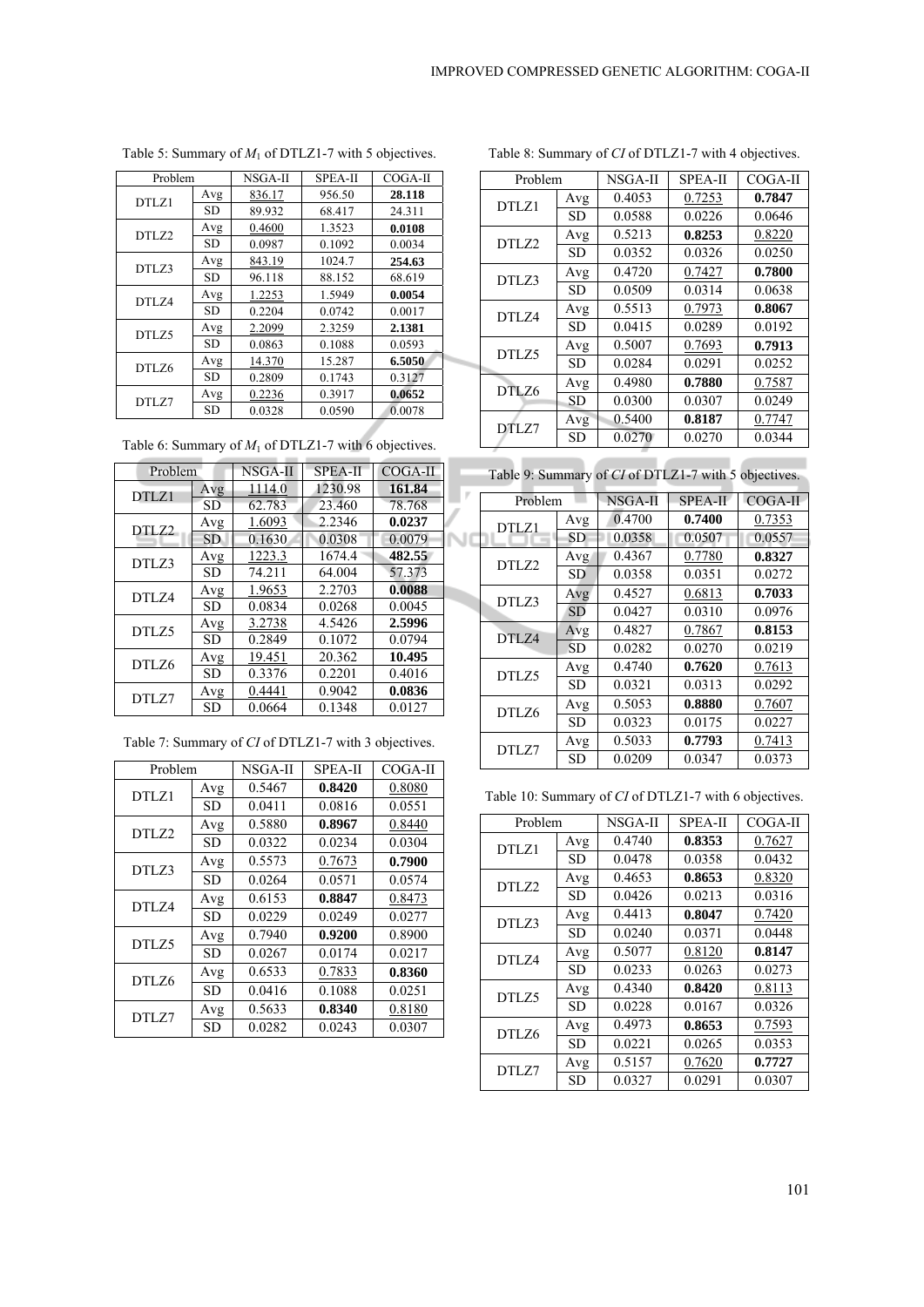| Problem |           | NSGA-II | <b>SPEA-II</b> | $COGA-II$ |
|---------|-----------|---------|----------------|-----------|
| DTLZ1   | Avg       | 836.17  | 956.50         | 28.118    |
|         | <b>SD</b> | 89.932  | 68.417         | 24.311    |
| DTLZ2   | Avg       | 0.4600  | 1.3523         | 0.0108    |
|         | <b>SD</b> | 0.0987  | 0.1092         | 0.0034    |
| DTLZ3   | Avg       | 843.19  | 1024.7         | 254.63    |
|         | <b>SD</b> | 96.118  | 88.152         | 68.619    |
| DTLZ4   | Avg       | 1.2253  | 1.5949         | 0.0054    |
|         | <b>SD</b> | 0.2204  | 0.0742         | 0.0017    |
| DTLZ5   | Avg       | 2.2099  | 2.3259         | 2.1381    |
|         | <b>SD</b> | 0.0863  | 0.1088         | 0.0593    |
| DTLZ6   | Avg       | 14.370  | 15.287         | 6.5050    |
|         | <b>SD</b> | 0.2809  | 0.1743         | 0.3127    |
| DTLZ7   | Avg       | 0.2236  | 0.3917         | 0.0652    |
|         | <b>SD</b> | 0.0328  | 0.0590         | 0.0078    |

Table 5: Summary of *M*1 of DTLZ1-7 with 5 objectives.

Table 6: Summary of  $M_1$  of DTLZ1-7 with 6 objectives.

| Problem |           | NSGA-II | <b>SPEA-II</b> | COGA-II |  |
|---------|-----------|---------|----------------|---------|--|
| DTLZ1   | Avg       | 1114.0  | 1230.98        | 161.84  |  |
|         | <b>SD</b> | 62.783  | 23.460         | 78.768  |  |
| DTLZ2   | Avg       | 1.6093  | 2.2346         | 0.0237  |  |
|         | SD.       | 0.1630  | 0.0308         | 0.0079  |  |
|         | Avg       | 1223.3  | 1674.4         | 482.55  |  |
| DTLZ3   | <b>SD</b> | 74.211  | 64.004         | 57.373  |  |
| DTLZ4   | Avg       | 1.9653  | 2.2703         | 0.0088  |  |
|         | <b>SD</b> | 0.0834  | 0.0268         | 0.0045  |  |
| DTLZ5   | Avg       | 3.2738  | 4.5426         | 2.5996  |  |
|         | <b>SD</b> | 0.2849  | 0.1072         | 0.0794  |  |
| DTLZ6   | Avg       | 19.451  | 20.362         | 10.495  |  |
|         | <b>SD</b> | 0.3376  | 0.2201         | 0.4016  |  |
| DTLZ7   | Avg       | 0.4441  | 0.9042         | 0.0836  |  |
|         | SD        | 0.0664  | 0.1348         | 0.0127  |  |

| Problem |           | NSGA-II | <b>SPEA-II</b> | COGA-II |
|---------|-----------|---------|----------------|---------|
| DTLZ1   | Avg       | 0.5467  | 0.8420         | 0.8080  |
|         | <b>SD</b> | 0.0411  | 0.0816         | 0.0551  |
| DTLZ2   | Avg       | 0.5880  | 0.8967         | 0.8440  |
|         | SD        | 0.0322  | 0.0234         | 0.0304  |
| DTLZ3   | Avg       | 0.5573  | 0.7673         | 0.7900  |
|         | <b>SD</b> | 0.0264  | 0.0571         | 0.0574  |
| DTLZ4   | Avg       | 0.6153  | 0.8847         | 0.8473  |
|         | <b>SD</b> | 0.0229  | 0.0249         | 0.0277  |
| DTLZ5   | Avg       | 0.7940  | 0.9200         | 0.8900  |
|         | <b>SD</b> | 0.0267  | 0.0174         | 0.0217  |
| DTLZ6   | Avg       | 0.6533  | 0.7833         | 0.8360  |
|         | <b>SD</b> | 0.0416  | 0.1088         | 0.0251  |
| DTLZ7   | Avg       | 0.5633  | 0.8340         | 0.8180  |
|         | <b>SD</b> | 0.0282  | 0.0243         | 0.0307  |

Table 7: Summary of *CI* of DTLZ1-7 with 3 objectives.

| Table 8: Summary of CI of DTLZ1-7 with 4 objectives. |  |
|------------------------------------------------------|--|
|                                                      |  |

| Problem      |           | NSGA-II | <b>SPEA-II</b> | COGA-II |
|--------------|-----------|---------|----------------|---------|
| DTLZ1        | Avg       | 0.4053  | 0.7253         | 0.7847  |
|              | <b>SD</b> | 0.0588  | 0.0226         | 0.0646  |
| <b>DTLZ2</b> | Avg       | 0.5213  | 0.8253         | 0.8220  |
|              | SD        | 0.0352  | 0.0326         | 0.0250  |
| DTLZ3        | Avg       | 0.4720  | 0.7427         | 0.7800  |
|              | SD        | 0.0509  | 0.0314         | 0.0638  |
| <b>DTLZ4</b> | Avg       | 0.5513  | 0.7973         | 0.8067  |
|              | SD        | 0.0415  | 0.0289         | 0.0192  |
| DTLZ5        | Avg       | 0.5007  | 0.7693         | 0.7913  |
|              | SD        | 0.0284  | 0.0291         | 0.0252  |
| DTLZ6        | Avg       | 0.4980  | 0.7880         | 0.7587  |
|              | SD        | 0.0300  | 0.0307         | 0.0249  |
| DTLZ7        | Avg       | 0.5400  | 0.8187         | 0.7747  |
|              | SD        | 0.0270  | 0.0270         | 0.0344  |
|              |           |         |                |         |

| Table 9: Summary of CI of DTLZ1-7 with 5 objectives. |  |
|------------------------------------------------------|--|
|                                                      |  |

Æ

| Problem |           | NSGA-II | <b>SPEA-II</b> | COGA-II |
|---------|-----------|---------|----------------|---------|
| DTLZ1   | Avg       | 0.4700  | 0.7400         | 0.7353  |
|         | <b>SD</b> | 0.0358  | 0.0507         | 0.0557  |
| DTLZ2   | Avg       | 0.4367  | 0.7780         | 0.8327  |
|         | <b>SD</b> | 0.0358  | 0.0351         | 0.0272  |
| DTLZ3   | Avg       | 0.4527  | 0.6813         | 0.7033  |
|         | <b>SD</b> | 0.0427  | 0.0310         | 0.0976  |
| DTLZ4   | Avg       | 0.4827  | 0.7867         | 0.8153  |
|         | <b>SD</b> | 0.0282  | 0.0270         | 0.0219  |
| DTLZ5   | Avg       | 0.4740  | 0.7620         | 0.7613  |
|         | <b>SD</b> | 0.0321  | 0.0313         | 0.0292  |
| DTLZ6   | Avg       | 0.5053  | 0.8880         | 0.7607  |
|         | <b>SD</b> | 0.0323  | 0.0175         | 0.0227  |
| DTLZ7   | Avg       | 0.5033  | 0.7793         | 0.7413  |
|         | <b>SD</b> | 0.0209  | 0.0347         | 0.0373  |

Table 10: Summary of *CI* of DTLZ1-7 with 6 objectives.

| Problem      |           | NSGA-II | <b>SPEA-II</b> | COGA-II |
|--------------|-----------|---------|----------------|---------|
| DTLZ1        | Avg       | 0.4740  | 0.8353         | 0.7627  |
|              | <b>SD</b> | 0.0478  | 0.0358         | 0.0432  |
| <b>DTLZ2</b> | Avg       | 0.4653  | 0.8653         | 0.8320  |
|              | <b>SD</b> | 0.0426  | 0.0213         | 0.0316  |
| DTLZ3        | Avg       | 0.4413  | 0.8047         | 0.7420  |
|              | <b>SD</b> | 0.0240  | 0.0371         | 0.0448  |
| <b>DTLZ4</b> | Avg       | 0.5077  | 0.8120         | 0.8147  |
|              | <b>SD</b> | 0.0233  | 0.0263         | 0.0273  |
| DTLZ5        | Avg       | 0.4340  | 0.8420         | 0.8113  |
|              | <b>SD</b> | 0.0228  | 0.0167         | 0.0326  |
| DTLZ6        | Avg       | 0.4973  | 0.8653         | 0.7593  |
|              | <b>SD</b> | 0.0221  | 0.0265         | 0.0353  |
| DTLZ7        | Avg       | 0.5157  | 0.7620         | 0.7727  |
|              | <b>SD</b> | 0.0327  | 0.0291         | 0.0307  |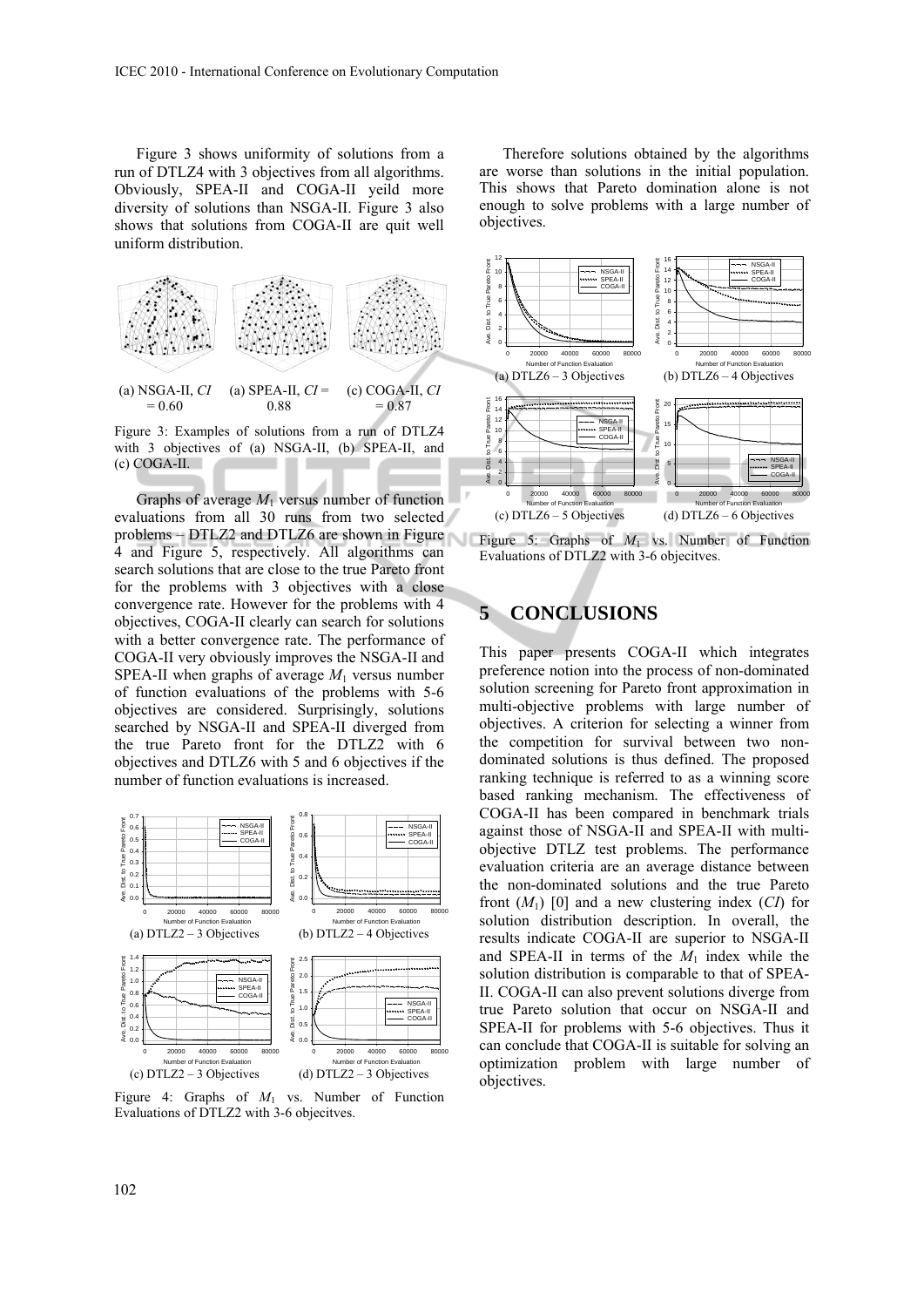Figure 3 shows uniformity of solutions from a run of DTLZ4 with 3 objectives from all algorithms. Obviously, SPEA-II and COGA-II yeild more diversity of solutions than NSGA-II. Figure 3 also shows that solutions from COGA-II are quit well uniform distribution.



Figure 3: Examples of solutions from a run of DTLZ4 with 3 objectives of (a) NSGA-II, (b) SPEA-II, and (c) COGA-II. ٠

Graphs of average *M*1 versus number of function evaluations from all 30 runs from two selected problems – DTLZ2 and DTLZ6 are shown in Figure 4 and Figure 5, respectively. All algorithms can search solutions that are close to the true Pareto front for the problems with 3 objectives with a close convergence rate. However for the problems with 4 objectives, COGA-II clearly can search for solutions with a better convergence rate. The performance of COGA-II very obviously improves the NSGA-II and SPEA-II when graphs of average  $M_1$  versus number of function evaluations of the problems with 5-6 objectives are considered. Surprisingly, solutions searched by NSGA-II and SPEA-II diverged from the true Pareto front for the DTLZ2 with 6 objectives and DTLZ6 with 5 and 6 objectives if the number of function evaluations is increased.



Figure 4: Graphs of *M*1 vs. Number of Function Evaluations of DTLZ2 with 3-6 objecitves.

Therefore solutions obtained by the algorithms are worse than solutions in the initial population. This shows that Pareto domination alone is not enough to solve problems with a large number of objectives.



Figure 5: Graphs of  $M_1$  vs. Number of Function Evaluations of DTLZ2 with 3-6 objecitves.

# **5 CONCLUSIONS**

This paper presents COGA-II which integrates preference notion into the process of non-dominated solution screening for Pareto front approximation in multi-objective problems with large number of objectives. A criterion for selecting a winner from the competition for survival between two nondominated solutions is thus defined. The proposed ranking technique is referred to as a winning score based ranking mechanism. The effectiveness of COGA-II has been compared in benchmark trials against those of NSGA-II and SPEA-II with multiobjective DTLZ test problems. The performance evaluation criteria are an average distance between the non-dominated solutions and the true Pareto front  $(M_1)$  [0] and a new clustering index  $(CI)$  for solution distribution description. In overall, the results indicate COGA-II are superior to NSGA-II and SPEA-II in terms of the  $M_1$  index while the solution distribution is comparable to that of SPEA-II. COGA-II can also prevent solutions diverge from true Pareto solution that occur on NSGA-II and SPEA-II for problems with 5-6 objectives. Thus it can conclude that COGA-II is suitable for solving an optimization problem with large number of objectives.